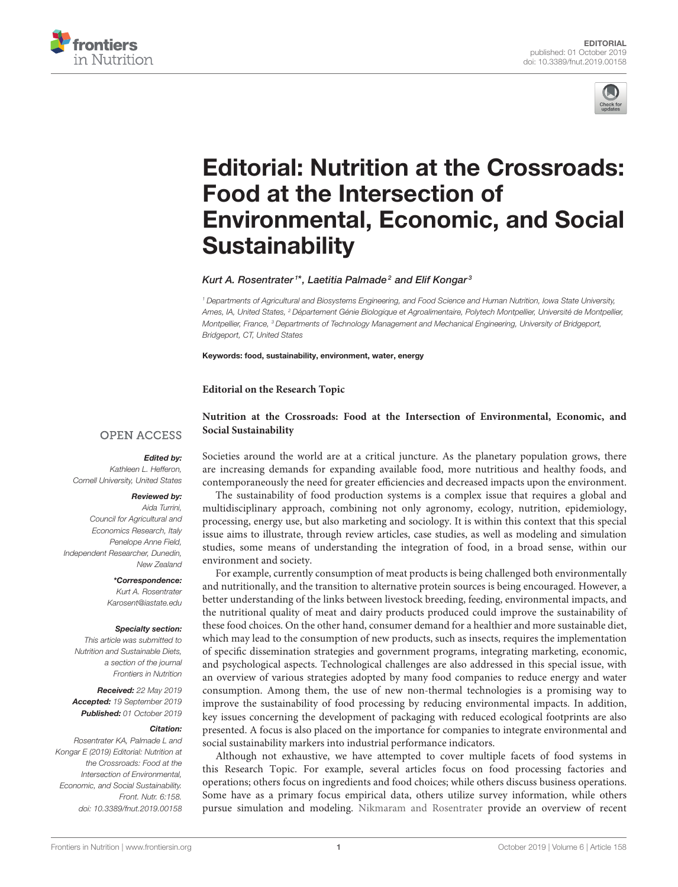



# Editorial: Nutrition at the Crossroads: Food at the Intersection of [Environmental, Economic, and Social](https://www.frontiersin.org/articles/10.3389/fnut.2019.00158/full) **Sustainability**

[Kurt A. Rosentrater](http://loop.frontiersin.org/people/91473/overview)1\*, [Laetitia Palmade](http://loop.frontiersin.org/people/405214/overview)<sup>2</sup> and [Elif Kongar](http://loop.frontiersin.org/people/404399/overview) $^{\rm 3}$ 

<sup>1</sup> Departments of Agricultural and Biosystems Engineering, and Food Science and Human Nutrition, Iowa State University, Ames, IA, United States, <sup>2</sup> Département Génie Biologique et Agroalimentaire, Polytech Montpellier, Université de Montpellier, Montpellier, France, <sup>3</sup> Departments of Technology Management and Mechanical Engineering, University of Bridgeport, Bridgeport, CT, United States

Keywords: food, sustainability, environment, water, energy

**Editorial on the Research Topic**

**Social Sustainability**

### **OPEN ACCESS**

#### Edited by:

Kathleen L. Hefferon, Cornell University, United States

#### Reviewed by:

Aida Turrini, Council for Agricultural and Economics Research, Italy Penelope Anne Field, Independent Researcher, Dunedin, New Zealand

#### \*Correspondence:

Kurt A. Rosentrater [Karosent@iastate.edu](mailto:Karosent@iastate.edu)

#### Specialty section:

This article was submitted to Nutrition and Sustainable Diets, a section of the journal Frontiers in Nutrition

Received: 22 May 2019 Accepted: 19 September 2019 Published: 01 October 2019

#### Citation:

Rosentrater KA, Palmade L and Kongar E (2019) Editorial: Nutrition at the Crossroads: Food at the Intersection of Environmental, Economic, and Social Sustainability. Front. Nutr. 6:158. doi: [10.3389/fnut.2019.00158](https://doi.org/10.3389/fnut.2019.00158)

Societies around the world are at a critical juncture. As the planetary population grows, there are increasing demands for expanding available food, more nutritious and healthy foods, and contemporaneously the need for greater efficiencies and decreased impacts upon the environment.

**[Nutrition at the Crossroads: Food at the Intersection of Environmental, Economic, and](https://www.frontiersin.org/research-topics/5769/nutrition-at-the-crossroads-food-at-the-intersection-of-environmental-economic-and-social-sustainabi)**

The sustainability of food production systems is a complex issue that requires a global and multidisciplinary approach, combining not only agronomy, ecology, nutrition, epidemiology, processing, energy use, but also marketing and sociology. It is within this context that this special issue aims to illustrate, through review articles, case studies, as well as modeling and simulation studies, some means of understanding the integration of food, in a broad sense, within our environment and society.

For example, currently consumption of meat products is being challenged both environmentally and nutritionally, and the transition to alternative protein sources is being encouraged. However, a better understanding of the links between livestock breeding, feeding, environmental impacts, and the nutritional quality of meat and dairy products produced could improve the sustainability of these food choices. On the other hand, consumer demand for a healthier and more sustainable diet, which may lead to the consumption of new products, such as insects, requires the implementation of specific dissemination strategies and government programs, integrating marketing, economic, and psychological aspects. Technological challenges are also addressed in this special issue, with an overview of various strategies adopted by many food companies to reduce energy and water consumption. Among them, the use of new non-thermal technologies is a promising way to improve the sustainability of food processing by reducing environmental impacts. In addition, key issues concerning the development of packaging with reduced ecological footprints are also presented. A focus is also placed on the importance for companies to integrate environmental and social sustainability markers into industrial performance indicators.

Although not exhaustive, we have attempted to cover multiple facets of food systems in this Research Topic. For example, several articles focus on food processing factories and operations; others focus on ingredients and food choices; while others discuss business operations. Some have as a primary focus empirical data, others utilize survey information, while others pursue simulation and modeling. [Nikmaram and Rosentrater](https://doi.org/10.3389/fnut.2019.00020) provide an overview of recent